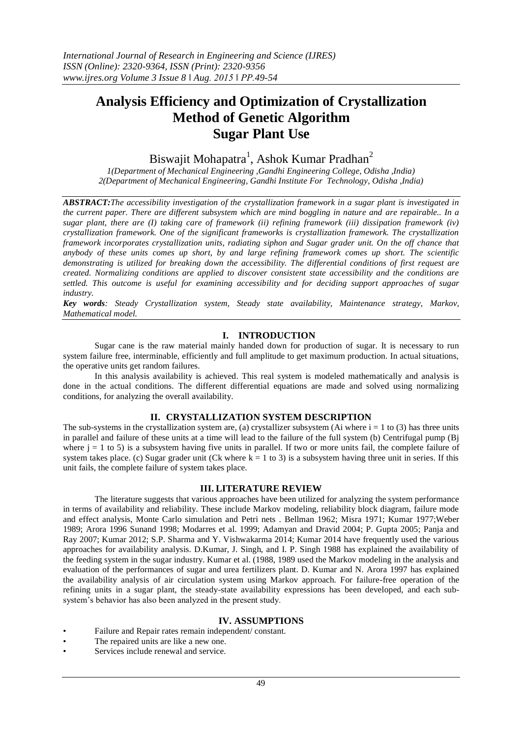# **Analysis Efficiency and Optimization of Crystallization Method of Genetic Algorithm Sugar Plant Use**

## Biswajit Mohapatra<sup>1</sup>, Ashok Kumar Pradhan<sup>2</sup>

*1(Department of Mechanical Engineering ,Gandhi Engineering College, Odisha ,India) 2(Department of Mechanical Engineering, Gandhi Institute For Technology, Odisha ,India)*

*ABSTRACT:The accessibility investigation of the crystallization framework in a sugar plant is investigated in the current paper. There are different subsystem which are mind boggling in nature and are repairable.. In a sugar plant, there are (I) taking care of framework (ii) refining framework (iii) dissipation framework (iv) crystallization framework. One of the significant frameworks is crystallization framework. The crystallization framework incorporates crystallization units, radiating siphon and Sugar grader unit. On the off chance that anybody of these units comes up short, by and large refining framework comes up short. The scientific demonstrating is utilized for breaking down the accessibility. The differential conditions of first request are created. Normalizing conditions are applied to discover consistent state accessibility and the conditions are settled. This outcome is useful for examining accessibility and for deciding support approaches of sugar industry.*

*Key words: Steady Crystallization system, Steady state availability, Maintenance strategy, Markov, Mathematical model.*

#### **I. INTRODUCTION**

Sugar cane is the raw material mainly handed down for production of sugar. It is necessary to run system failure free, interminable, efficiently and full amplitude to get maximum production. In actual situations, the operative units get random failures.

In this analysis availability is achieved. This real system is modeled mathematically and analysis is done in the actual conditions. The different differential equations are made and solved using normalizing conditions, for analyzing the overall availability.

#### **II. CRYSTALLIZATION SYSTEM DESCRIPTION**

The sub-systems in the crystallization system are, (a) crystallizer subsystem (Ai where  $i = 1$  to (3) has three units in parallel and failure of these units at a time will lead to the failure of the full system (b) Centrifugal pump (Bj where  $j = 1$  to 5) is a subsystem having five units in parallel. If two or more units fail, the complete failure of system takes place. (c) Sugar grader unit (Ck where  $k = 1$  to 3) is a subsystem having three unit in series. If this unit fails, the complete failure of system takes place.

#### **III. LITERATURE REVIEW**

The literature suggests that various approaches have been utilized for analyzing the system performance in terms of availability and reliability. These include Markov modeling, reliability block diagram, failure mode and effect analysis, Monte Carlo simulation and Petri nets . Bellman 1962; Misra 1971; Kumar 1977;Weber 1989; Arora 1996 Sunand 1998; Modarres et al. 1999; Adamyan and Dravid 2004; P. Gupta 2005; Panja and Ray 2007; Kumar 2012; S.P. Sharma and Y. Vishwakarma 2014; Kumar 2014 have frequently used the various approaches for availability analysis. D.Kumar, J. Singh, and I. P. Singh 1988 has explained the availability of the feeding system in the sugar industry. Kumar et al. (1988, 1989 used the Markov modeling in the analysis and evaluation of the performances of sugar and urea fertilizers plant. D. Kumar and N. Arora 1997 has explained the availability analysis of air circulation system using Markov approach. For failure-free operation of the refining units in a sugar plant, the steady-state availability expressions has been developed, and each subsystem"s behavior has also been analyzed in the present study.

#### **IV. ASSUMPTIONS**

- Failure and Repair rates remain independent/ constant.
	- The repaired units are like a new one.
- Services include renewal and service.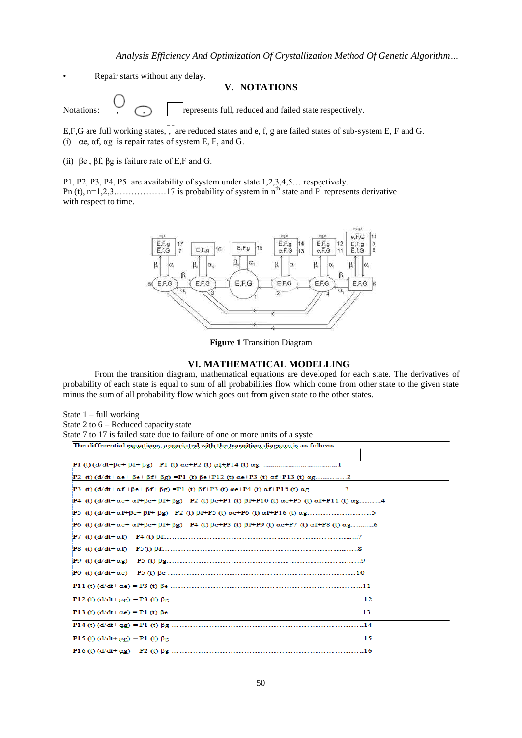Repair starts without any delay.

#### **V. NOTATIONS**

State 1 – full working

Notations:  $\bigcirc$   $\bigcirc$  represents full, reduced and failed state respectively.

E,F,G are full working states,, are reduced states and e, f, g are failed states of sub-system E, F and G. (i)  $\alpha$ e,  $\alpha$ f,  $\alpha$ g is repair rates of system E, F, and G.

(ii)  $\beta e$ ,  $\beta f$ ,  $\beta g$  is failure rate of E,F and G.

P1, P2, P3, P4, P5 are availability of system under state 1,2,3,4,5… respectively. Pn (t), n=1,2,3………………17 is probability of system in nth state and P**`** represents derivative with respect to time.



**Figure 1** Transition Diagram

#### **VI. MATHEMATICAL MODELLING**

From the transition diagram, mathematical equations are developed for each state. The derivatives of probability of each state is equal to sum of all probabilities flow which come from other state to the given state minus the sum of all probability flow which goes out from given state to the other states.

| State 2 to $6$ – Reduced capacity state                                                                                                                              |
|----------------------------------------------------------------------------------------------------------------------------------------------------------------------|
| State 7 to 17 is failed state due to failure of one or more units of a syste                                                                                         |
| The differential equations, associated with the transition diagram is as follows:                                                                                    |
|                                                                                                                                                                      |
|                                                                                                                                                                      |
| $P2$ (t) (d/dt+ αe+ βe+ βf+ βg) = P1 (t) βe+ P12 (t) αe+ P3 (t) αf+ P13 (t) αg2                                                                                      |
| $P3$ (t) (d/dt+ αf+βe+ βf+ βg) = P1 (t) βf+ P3 (t) αe+ P4 (t) αf+ P15 (t) αg3                                                                                        |
| $P4$ (t) (d/dt+ $\alpha$ e+ $\alpha$ f+ $\beta$ e+ $\beta$ f+ $\beta$ g) =P2 (t) $\beta$ e+P1 (t) $\beta$ f+P10 (t) $\alpha$ e+P5 (t) $\alpha$ f+P11 (t) $\alpha$ g4 |
|                                                                                                                                                                      |
| $P6$ (t) (d/dt+ αe+ αf+βe+ βf+ βg) =P4 (t) βe+P3 (t) βf+P9 (t) αe+P7 (t) αf+P8 (t) αg6                                                                               |
|                                                                                                                                                                      |
|                                                                                                                                                                      |
|                                                                                                                                                                      |
|                                                                                                                                                                      |
|                                                                                                                                                                      |
|                                                                                                                                                                      |
|                                                                                                                                                                      |
|                                                                                                                                                                      |
|                                                                                                                                                                      |
|                                                                                                                                                                      |
|                                                                                                                                                                      |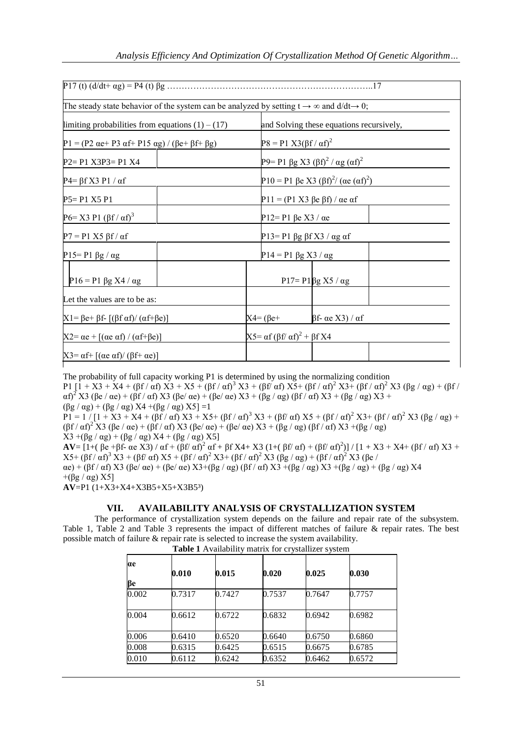|                                                                                                      |  |                                                     | .17                                                        |  |  |
|------------------------------------------------------------------------------------------------------|--|-----------------------------------------------------|------------------------------------------------------------|--|--|
| The steady state behavior of the system can be analyzed by setting $t \to \infty$ and $d/dt \to 0$ ; |  |                                                     |                                                            |  |  |
| limiting probabilities from equations $(1) - (17)$                                                   |  |                                                     | and Solving these equations recursively,                   |  |  |
| P1 = (P2 αe+ P3 αf+ P15 αg) / (βe+ βf+ βg)                                                           |  |                                                     | $P8 = P1 X3(\beta f / \alpha f)^2$                         |  |  |
| $P2 = P1 X3P3 = P1 X4$                                                                               |  |                                                     | P9= P1 βg X3 (βf) <sup>2</sup> / αg (αf) <sup>2</sup>      |  |  |
| $P4 = \beta f X3 P1 / \alpha f$                                                                      |  |                                                     | P10 = P1 βe X3 (βf) <sup>2</sup> / (αe (αf) <sup>2</sup> ) |  |  |
| $P5 = P1 X5 P1$                                                                                      |  |                                                     | P11 = (P1 X3 βe βf) / αe af                                |  |  |
| P6= X3 P1 (βf / αf) <sup>3</sup>                                                                     |  |                                                     | P12= P1 βe X3 / αe                                         |  |  |
| $P7 = P1 X5 βf / αf$                                                                                 |  |                                                     | P13= P1 βg $\beta$ f X3 / αg af                            |  |  |
| P15=P1 $\beta$ g / $\alpha$ g                                                                        |  |                                                     | $P14 = P1 \beta g X3 / \alpha g$                           |  |  |
| $P16 = P1 \beta g X4 / \alpha g$                                                                     |  |                                                     | $P17 = P1\beta g X5 / \alpha g$                            |  |  |
| Let the values are to be as:                                                                         |  |                                                     |                                                            |  |  |
| $X1 = \beta e + \beta f - [(\beta f \alpha f) / (\alpha f + \beta e)]$                               |  | $X4 = (\beta e +$                                   | $βf-αe X3)/αf$                                             |  |  |
| $[X2 = \alpha e + [(\alpha e \alpha f) / (\alpha f + \beta e)]$                                      |  | $X5 = \alpha f (\beta f / \alpha f)^2 + \beta f X4$ |                                                            |  |  |
| $X3 = \alpha f + [(\alpha e \alpha f)/(\beta f + \alpha e)]$                                         |  |                                                     |                                                            |  |  |

The probability of full capacity working P1 is determined by using the normalizing condition P1  $[1 + X3 + X4 + (\beta f / \alpha f) X3 + X5 + (\beta f / \alpha f)^3 X3 + (\beta f / \alpha f) X5 + (\beta f / \alpha f)^2 X3 + (\beta f / \alpha f)^2 X3 (\beta g / \alpha g) + (\beta f / \alpha f)^2 X3 + (\beta g / \alpha g) X5 + (\beta g / \alpha f)^2 X3 + (\beta g / \alpha g) X5 + (\beta g / \alpha g)^2 X3 + (\beta g / \alpha g) X5 + (\beta g / \alpha g)^2 X3 + (\beta g / \alpha g)^2 X3 + (\beta g / \alpha g)^2 X3 + (\beta g / \alpha g)^2 X3 + (\beta g / \alpha g)^2 X3 + (\beta g / \alpha g)^2$ αf)<sup>2</sup> X3 (βe / αe) + (βf / αf) X3 (βe/ αe) + (βe/ αe) X3 + (βg / αg) (βf / αf) X3 + (βg / αg) X3 +  $(\beta g / \alpha g) + (\beta g / \alpha g) X4 + (\beta g / \alpha g) X5$ ] =1

 $P1 = 1 / [1 + X3 + X4 + (\beta f / \alpha f) X3 + X5 + (\beta f / \alpha f)^3 X3 + (\beta f / \alpha f) X5 + (\beta f / \alpha f)^2 X3 + (\beta f / \alpha f)^2 X3 (\beta g / \alpha g)$  +  $(\beta f / \alpha f)^2$  X3 (βe / αe) + (βf / αf) X3 (βe/ αe) + (βe/ αe) X3 + (βg / αg) (βf / αf) X3 + (βg / αg)  $X3 + (\beta g / \alpha g) + (\beta g / \alpha g) X4 + (\beta g / \alpha g) X5$ ]

**AV**= [1+( βe +βf- αe X3) / αf + (βf/ αf)<sup>2</sup> αf + βf X4+ X3 (1+( βf/ αf) + (βf/ αf)<sup>2</sup>)] / [1 + X3 + X4+ (βf/ αf) X3 +  $X5+\left(\beta f/\alpha f\right)^3 X3+\left(\beta f/\alpha f\right) X5+\left(\beta f/\alpha f\right)^2 X3+\left(\beta f/\alpha f\right)^2 X3\left(\beta g/\alpha g\right)+\left(\beta f/\alpha f\right)^2 X3\left(\beta e/\alpha f\right) X4$ 

 $\alpha$ e) + (βf /  $\alpha$ f) X3 (βe/ $\alpha$ e) + (βe/ $\alpha$ e) X3+(βg /  $\alpha$ g) (βf /  $\alpha$ f) X3 +(βg /  $\alpha$ g) X3 +(βg /  $\alpha$ g) + (βg /  $\alpha$ g) X4  $+($  $\beta$ g /  $\alpha$ g) X5]

**AV**=P1 (1+X3+X4+X3B5+X5+X3B5³)

### **VII. AVAILABILITY ANALYSIS OF CRYSTALLIZATION SYSTEM**

The performance of crystallization system depends on the failure and repair rate of the subsystem. Table 1, Table 2 and Table 3 represents the impact of different matches of failure & repair rates. The best possible match of failure & repair rate is selected to increase the system availability.

| Table 1 Availability matrix for crystallizer system |  |  |
|-----------------------------------------------------|--|--|

| αe    |        |        |        |        |        |
|-------|--------|--------|--------|--------|--------|
| βe    | 0.010  | 0.015  | 0.020  | 0.025  | 0.030  |
| 0.002 | 0.7317 | 0.7427 | 0.7537 | 0.7647 | 0.7757 |
| 0.004 | 0.6612 | 0.6722 | 0.6832 | 0.6942 | 0.6982 |
| 0.006 | 0.6410 | 0.6520 | 0.6640 | 0.6750 | 0.6860 |
| 0.008 | 0.6315 | 0.6425 | 0.6515 | 0.6675 | 0.6785 |
| 0.010 | 0.6112 | 0.6242 | 0.6352 | 0.6462 | 0.6572 |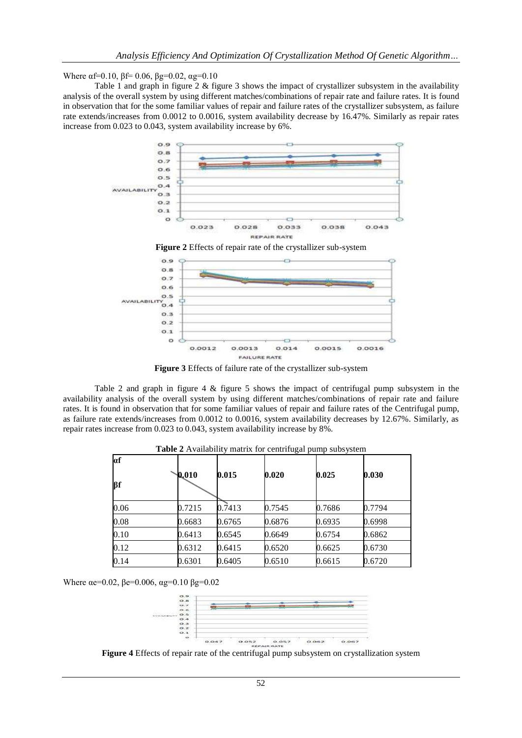Where  $\alpha$ f=0.10,  $\beta$ f= 0.06,  $\beta$ g=0.02,  $\alpha$ g=0.10

Table 1 and graph in figure 2 & figure 3 shows the impact of crystallizer subsystem in the availability analysis of the overall system by using different matches/combinations of repair rate and failure rates. It is found in observation that for the some familiar values of repair and failure rates of the crystallizer subsystem, as failure rate extends/increases from 0.0012 to 0.0016, system availability decrease by 16.47%. Similarly as repair rates increase from 0.023 to 0.043, system availability increase by 6%.



**Figure 2** Effects of repair rate of the crystallizer sub-system



**Figure 3** Effects of failure rate of the crystallizer sub-system

Table 2 and graph in figure 4 & figure 5 shows the impact of centrifugal pump subsystem in the availability analysis of the overall system by using different matches/combinations of repair rate and failure rates. It is found in observation that for some familiar values of repair and failure rates of the Centrifugal pump, as failure rate extends/increases from 0.0012 to 0.0016, system availability decreases by 12.67%. Similarly, as repair rates increase from 0.023 to 0.043, system availability increase by 8%.

| af   |        |        |        |        |        |
|------|--------|--------|--------|--------|--------|
| βf   | 0.010  | 0.015  | 0.020  | 0.025  | 0.030  |
| 0.06 | 0.7215 | 0.7413 | 0.7545 | 0.7686 | 0.7794 |
| 0.08 | 0.6683 | 0.6765 | 0.6876 | 0.6935 | 0.6998 |
| 0.10 | 0.6413 | 0.6545 | 0.6649 | 0.6754 | 0.6862 |
| 0.12 | 0.6312 | 0.6415 | 0.6520 | 0.6625 | 0.6730 |
| 0.14 | 0.6301 | 0.6405 | 0.6510 | 0.6615 | 0.6720 |

**Table 2** Availability matrix for centrifugal pump subsystem

Where  $\alpha$ e=0.02,  $\beta$ e=0.006,  $\alpha$ g=0.10  $\beta$ g=0.02



**Figure 4** Effects of repair rate of the centrifugal pump subsystem on crystallization system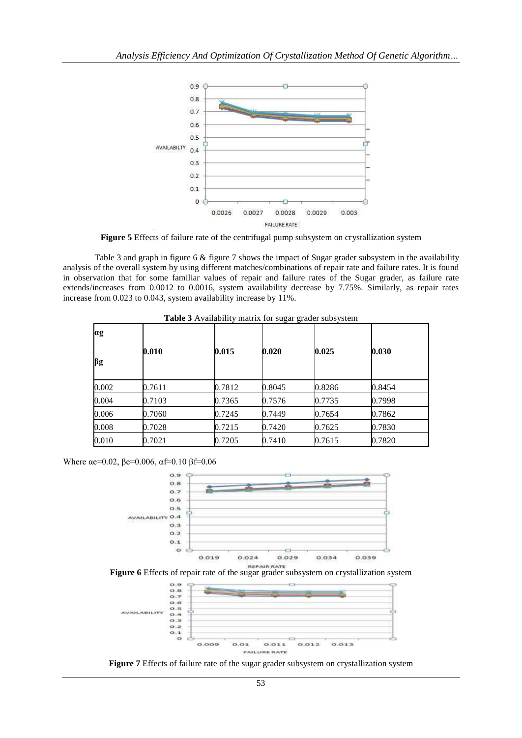

**Figure 5** Effects of failure rate of the centrifugal pump subsystem on crystallization system

Table 3 and graph in figure 6 & figure 7 shows the impact of Sugar grader subsystem in the availability analysis of the overall system by using different matches/combinations of repair rate and failure rates. It is found in observation that for some familiar values of repair and failure rates of the Sugar grader, as failure rate extends/increases from 0.0012 to 0.0016, system availability decrease by 7.75%. Similarly, as repair rates increase from 0.023 to 0.043, system availability increase by 11%.

| $\alpha$ g |        |        |        |        |        |
|------------|--------|--------|--------|--------|--------|
| $\beta$ g  | 0.010  | 0.015  | 0.020  | 0.025  | 0.030  |
| 0.002      | 0.7611 | 0.7812 | 0.8045 | 0.8286 | 0.8454 |
| 0.004      | 0.7103 | 0.7365 | 0.7576 | 0.7735 | 0.7998 |
| 0.006      | 0.7060 | 0.7245 | 0.7449 | 0.7654 | 0.7862 |
| 0.008      | 0.7028 | 0.7215 | 0.7420 | 0.7625 | 0.7830 |
| 0.010      | 0.7021 | 0.7205 | 0.7410 | 0.7615 | 0.7820 |

**Table 3** Availability matrix for sugar grader subsystem

Where  $\alpha$ e=0.02,  $\beta$ e=0.006,  $\alpha$ f=0.10  $\beta$ f=0.06



**Figure 6** Effects of repair rate of the sugar grader subsystem on crystallization system